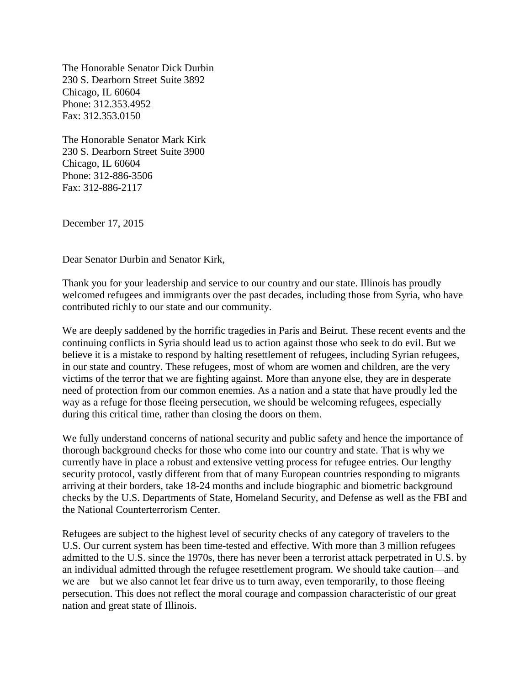The Honorable Senator Dick Durbin 230 S. Dearborn Street Suite 3892 Chicago, IL 60604 Phone: 312.353.4952 Fax: 312.353.0150

The Honorable Senator Mark Kirk 230 S. Dearborn Street Suite 3900 Chicago, IL 60604 Phone: 312-886-3506 Fax: 312-886-2117

December 17, 2015

Dear Senator Durbin and Senator Kirk,

Thank you for your leadership and service to our country and our state. Illinois has proudly welcomed refugees and immigrants over the past decades, including those from Syria, who have contributed richly to our state and our community.

We are deeply saddened by the horrific tragedies in Paris and Beirut. These recent events and the continuing conflicts in Syria should lead us to action against those who seek to do evil. But we believe it is a mistake to respond by halting resettlement of refugees, including Syrian refugees, in our state and country. These refugees, most of whom are women and children, are the very victims of the terror that we are fighting against. More than anyone else, they are in desperate need of protection from our common enemies. As a nation and a state that have proudly led the way as a refuge for those fleeing persecution, we should be welcoming refugees, especially during this critical time, rather than closing the doors on them.

We fully understand concerns of national security and public safety and hence the importance of thorough background checks for those who come into our country and state. That is why we currently have in place a robust and extensive vetting process for refugee entries. Our lengthy security protocol, vastly different from that of many European countries responding to migrants arriving at their borders, take 18-24 months and include biographic and biometric background checks by the U.S. Departments of State, Homeland Security, and Defense as well as the FBI and the National Counterterrorism Center.

Refugees are subject to the highest level of security checks of any category of travelers to the U.S. Our current system has been time-tested and effective. With more than 3 million refugees admitted to the U.S. since the 1970s, there has never been a terrorist attack perpetrated in U.S. by an individual admitted through the refugee resettlement program. We should take caution—and we are—but we also cannot let fear drive us to turn away, even temporarily, to those fleeing persecution. This does not reflect the moral courage and compassion characteristic of our great nation and great state of Illinois.